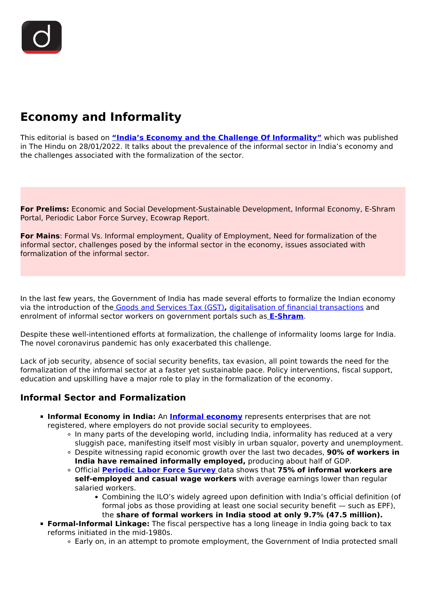# **Economy and Informality**

This editorial is based on **["India's Economy and the Challenge Of Informality"](https://www.thehindu.com/opinion/op-ed/indias-economy-and-the-challenge-of-informality/article38335803.ece)** which was published in The Hindu on 28/01/2022. It talks about the prevalence of the informal sector in India's economy and the challenges associated with the formalization of the sector.

**For Prelims:** Economic and Social Development-Sustainable Development, Informal Economy, E-Shram Portal, Periodic Labor Force Survey, Ecowrap Report.

**For Mains**: Formal Vs. Informal employment, Quality of Employment, Need for formalization of the informal sector, challenges posed by the informal sector in the economy, issues associated with formalization of the informal sector.

In the last few years, the Government of India has made several efforts to formalize the Indian economy via the introduction of the [Goods and Services Tax \(GST\)](/to-the-points/paper3/goods-and-services-tax-gst-1)**,** [digitalisation of financial transactions](/daily-updates/daily-news-analysis/promoting-digital-banking) and enrolment of informal sector workers on government portals such as **[E-Shram](/daily-updates/daily-news-analysis/e-shram-portal)**.

Despite these well-intentioned efforts at formalization, the challenge of informality looms large for India. The novel coronavirus pandemic has only exacerbated this challenge.

Lack of job security, absence of social security benefits, tax evasion, all point towards the need for the formalization of the informal sector at a faster yet sustainable pace. Policy interventions, fiscal support, education and upskilling have a major role to play in the formalization of the economy.

# **Informal Sector and Formalization**

- **Informal Economy in India:** An **[Informal economy](/daily-updates/daily-news-editorials/towards-formalisation-of-informal-sector)** represents enterprises that are not registered, where employers do not provide social security to employees.
	- In many parts of the developing world, including India, informality has reduced at a very sluggish pace, manifesting itself most visibly in urban squalor, poverty and unemployment.
	- Despite witnessing rapid economic growth over the last two decades, **90% of workers in India have remained informally employed,** producing about half of GDP.
	- Official **[Periodic Labor Force Survey](/daily-updates/daily-news-analysis/periodic-labour-force-survey-2019-20)** [d](/daily-updates/daily-news-analysis/periodic-labour-force-survey-2019-20)ata shows that **75% of informal workers are self-employed and casual wage workers** with average earnings lower than regular salaried workers.
		- Combining the ILO's widely agreed upon definition with India's official definition (of formal jobs as those providing at least one social security benefit — such as EPF), the **share of formal workers in India stood at only 9.7% (47.5 million).**
- **Formal-Informal Linkage:** The fiscal perspective has a long lineage in India going back to tax reforms initiated in the mid-1980s.
	- Early on, in an attempt to promote employment, the Government of India protected small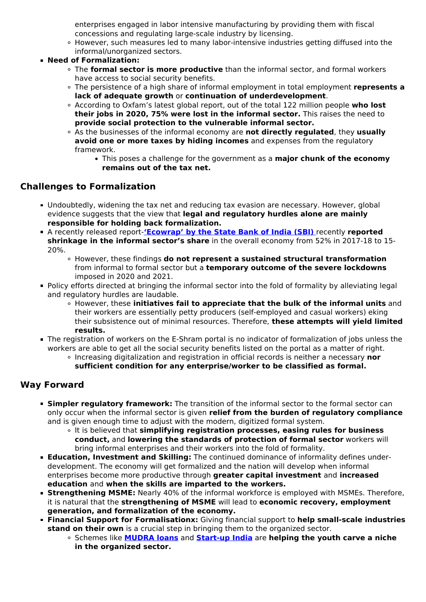enterprises engaged in labor intensive manufacturing by providing them with fiscal concessions and regulating large-scale industry by licensing.

- However, such measures led to many labor-intensive industries getting diffused into the informal/unorganized sectors.
- **Need of Formalization:**
	- The **formal sector is more productive** than the informal sector, and formal workers have access to social security benefits.
	- The persistence of a high share of informal employment in total employment **represents a lack of adequate growth** or **continuation of underdevelopment**.
	- According to Oxfam's latest global report, out of the total 122 million people **who lost their jobs in 2020, 75% were lost in the informal sector.** This raises the need to **provide social protection to the vulnerable informal sector.**
	- As the businesses of the informal economy are **not directly regulated**, they **usually avoid one or more taxes by hiding incomes** and expenses from the regulatory framework.
		- This poses a challenge for the government as a **major chunk of the economy remains out of the tax net.**

### **Challenges to Formalization**

- Undoubtedly, widening the tax net and reducing tax evasion are necessary. However, global evidence suggests that the view that **legal and regulatory hurdles alone are mainly responsible for holding back formalization.**
- A recently released report-**['Ecowrap' by the State Bank of India \(SBI\)](/daily-updates/daily-news-editorials/towards-formalisation-of-informal-sector)** [r](/daily-updates/daily-news-editorials/towards-formalisation-of-informal-sector)ecently **reported shrinkage in the informal sector's share** in the overall economy from 52% in 2017-18 to 15- 20%.
	- However, these findings **do not represent a sustained structural transformation** from informal to formal sector but a **temporary outcome of the severe lockdowns** imposed in 2020 and 2021.
- Policy efforts directed at bringing the informal sector into the fold of formality by alleviating legal and regulatory hurdles are laudable.
	- However, these **initiatives fail to appreciate that the bulk of the informal units** and their workers are essentially petty producers (self-employed and casual workers) eking their subsistence out of minimal resources. Therefore, **these attempts will yield limited results.**
- The registration of workers on the E-Shram portal is no indicator of formalization of jobs unless the workers are able to get all the social security benefits listed on the portal as a matter of right.
	- Increasing digitalization and registration in official records is neither a necessary **nor sufficient condition for any enterprise/worker to be classified as formal.**

# **Way Forward**

- **Simpler regulatory framework:** The transition of the informal sector to the formal sector can only occur when the informal sector is given **relief from the burden of regulatory compliance** and is given enough time to adjust with the modern, digitized formal system.
	- It is believed that **simplifying registration processes, easing rules for business conduct,** and **lowering the standards of protection of formal sector** workers will bring informal enterprises and their workers into the fold of formality.
- **Education, Investment and Skilling:** The continued dominance of informality defines underdevelopment. The economy will get formalized and the nation will develop when informal enterprises become more productive through **greater capital investment** and **increased education** and **when the skills are imparted to the workers.**
- **Strengthening MSME:** Nearly 40% of the informal workforce is employed with MSMEs. Therefore, it is natural that the **strengthening of MSME** will lead to **economic recovery, employment generation, and formalization of the economy.**
- **Financial Support for Formalisationx:** Giving financial support to **help small-scale industries stand on their own** is a crucial step in bringing them to the organized sector.
	- Schemes like **[MUDRA loans](/daily-updates/daily-news-analysis/mudra-scheme-and-employment)** and **[Start-up India](/daily-updates/daily-news-editorials/startups-in-india-1)** are **helping the youth carve a niche in the organized sector.**